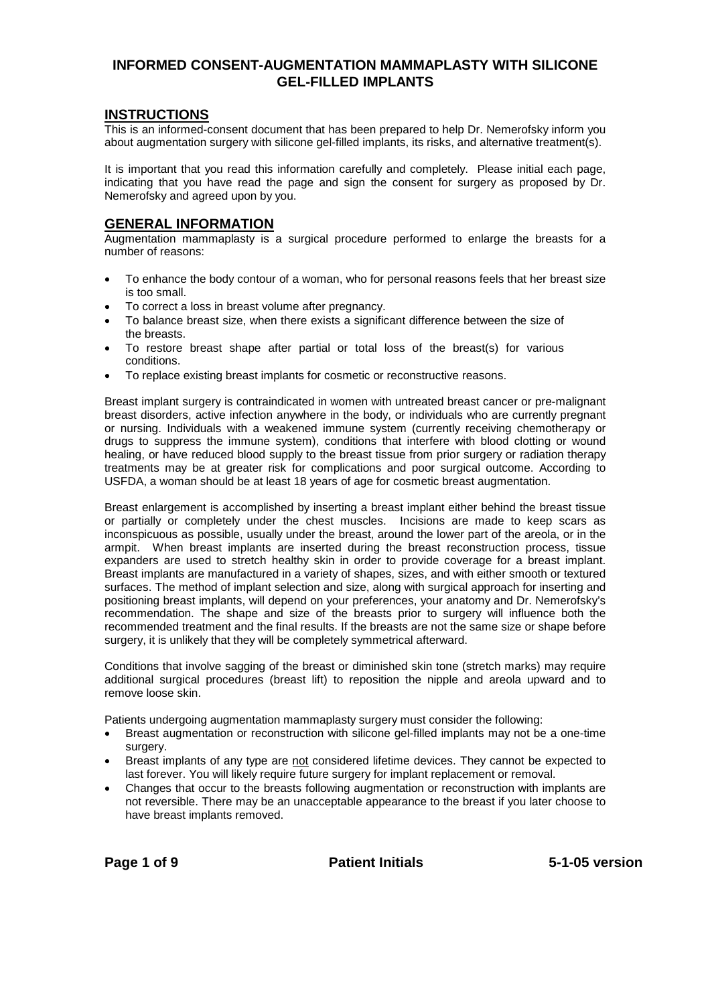# **INFORMED CONSENT-AUGMENTATION MAMMAPLASTY WITH SILICONE GEL-FILLED IMPLANTS**

# **INSTRUCTIONS**

This is an informed-consent document that has been prepared to help Dr. Nemerofsky inform you about augmentation surgery with silicone gel-filled implants, its risks, and alternative treatment(s).

It is important that you read this information carefully and completely. Please initial each page, indicating that you have read the page and sign the consent for surgery as proposed by Dr. Nemerofsky and agreed upon by you.

# **GENERAL INFORMATION**

Augmentation mammaplasty is a surgical procedure performed to enlarge the breasts for a number of reasons:

- To enhance the body contour of a woman, who for personal reasons feels that her breast size is too small.
- To correct a loss in breast volume after pregnancy.
- To balance breast size, when there exists a significant difference between the size of the breasts.
- To restore breast shape after partial or total loss of the breast(s) for various conditions.
- To replace existing breast implants for cosmetic or reconstructive reasons.

Breast implant surgery is contraindicated in women with untreated breast cancer or pre-malignant breast disorders, active infection anywhere in the body, or individuals who are currently pregnant or nursing. Individuals with a weakened immune system (currently receiving chemotherapy or drugs to suppress the immune system), conditions that interfere with blood clotting or wound healing, or have reduced blood supply to the breast tissue from prior surgery or radiation therapy treatments may be at greater risk for complications and poor surgical outcome. According to USFDA, a woman should be at least 18 years of age for cosmetic breast augmentation.

Breast enlargement is accomplished by inserting a breast implant either behind the breast tissue or partially or completely under the chest muscles. Incisions are made to keep scars as inconspicuous as possible, usually under the breast, around the lower part of the areola, or in the armpit. When breast implants are inserted during the breast reconstruction process, tissue expanders are used to stretch healthy skin in order to provide coverage for a breast implant. Breast implants are manufactured in a variety of shapes, sizes, and with either smooth or textured surfaces. The method of implant selection and size, along with surgical approach for inserting and positioning breast implants, will depend on your preferences, your anatomy and Dr. Nemerofsky's recommendation. The shape and size of the breasts prior to surgery will influence both the recommended treatment and the final results. If the breasts are not the same size or shape before surgery, it is unlikely that they will be completely symmetrical afterward.

Conditions that involve sagging of the breast or diminished skin tone (stretch marks) may require additional surgical procedures (breast lift) to reposition the nipple and areola upward and to remove loose skin.

Patients undergoing augmentation mammaplasty surgery must consider the following:

- Breast augmentation or reconstruction with silicone gel-filled implants may not be a one-time surgery.
- Breast implants of any type are not considered lifetime devices. They cannot be expected to last forever. You will likely require future surgery for implant replacement or removal.
- Changes that occur to the breasts following augmentation or reconstruction with implants are not reversible. There may be an unacceptable appearance to the breast if you later choose to have breast implants removed.

**Page 1 of 9 Patient Initials 5-1-05 version**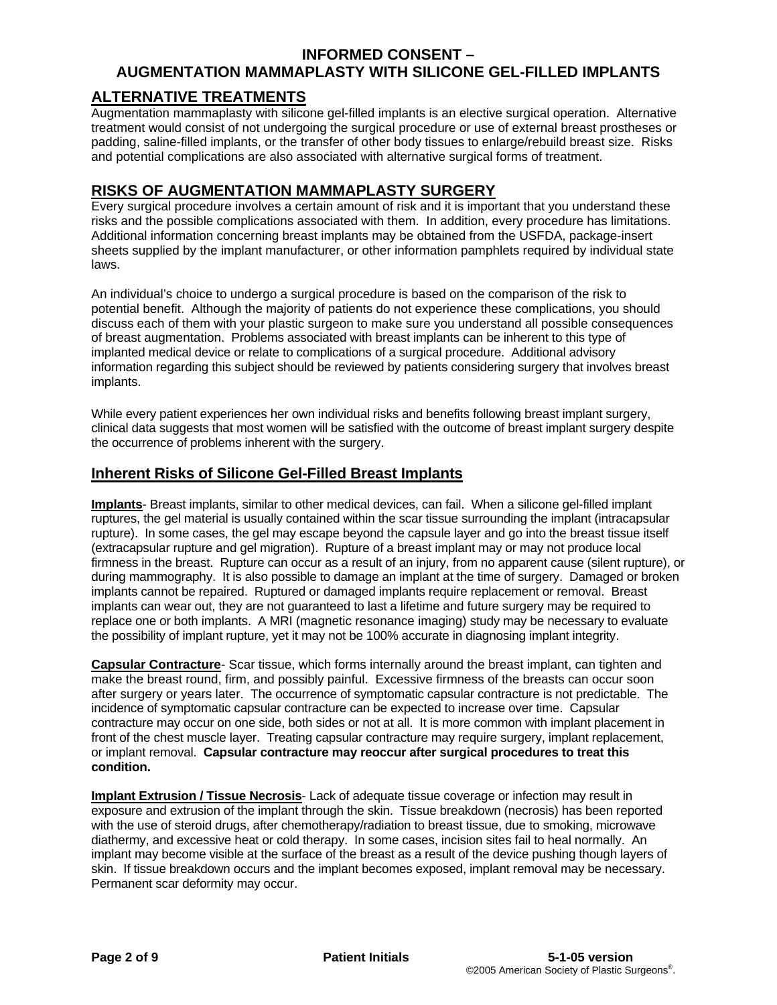# **AUGMENTATION MAMMAPLASTY WITH SILICONE GEL-FILLED IMPLANTS**

# **ALTERNATIVE TREATMENTS**

Augmentation mammaplasty with silicone gel-filled implants is an elective surgical operation. Alternative treatment would consist of not undergoing the surgical procedure or use of external breast prostheses or padding, saline-filled implants, or the transfer of other body tissues to enlarge/rebuild breast size. Risks and potential complications are also associated with alternative surgical forms of treatment.

# **RISKS OF AUGMENTATION MAMMAPLASTY SURGERY**

Every surgical procedure involves a certain amount of risk and it is important that you understand these risks and the possible complications associated with them. In addition, every procedure has limitations. Additional information concerning breast implants may be obtained from the USFDA, package-insert sheets supplied by the implant manufacturer, or other information pamphlets required by individual state laws.

An individual's choice to undergo a surgical procedure is based on the comparison of the risk to potential benefit. Although the majority of patients do not experience these complications, you should discuss each of them with your plastic surgeon to make sure you understand all possible consequences of breast augmentation. Problems associated with breast implants can be inherent to this type of implanted medical device or relate to complications of a surgical procedure. Additional advisory information regarding this subject should be reviewed by patients considering surgery that involves breast implants.

While every patient experiences her own individual risks and benefits following breast implant surgery, clinical data suggests that most women will be satisfied with the outcome of breast implant surgery despite the occurrence of problems inherent with the surgery.

# **Inherent Risks of Silicone Gel-Filled Breast Implants**

**Implants**- Breast implants, similar to other medical devices, can fail. When a silicone gel-filled implant ruptures, the gel material is usually contained within the scar tissue surrounding the implant (intracapsular rupture). In some cases, the gel may escape beyond the capsule layer and go into the breast tissue itself (extracapsular rupture and gel migration). Rupture of a breast implant may or may not produce local firmness in the breast. Rupture can occur as a result of an injury, from no apparent cause (silent rupture), or during mammography. It is also possible to damage an implant at the time of surgery. Damaged or broken implants cannot be repaired. Ruptured or damaged implants require replacement or removal. Breast implants can wear out, they are not guaranteed to last a lifetime and future surgery may be required to replace one or both implants. A MRI (magnetic resonance imaging) study may be necessary to evaluate the possibility of implant rupture, yet it may not be 100% accurate in diagnosing implant integrity.

**Capsular Contracture**- Scar tissue, which forms internally around the breast implant, can tighten and make the breast round, firm, and possibly painful. Excessive firmness of the breasts can occur soon after surgery or years later. The occurrence of symptomatic capsular contracture is not predictable. The incidence of symptomatic capsular contracture can be expected to increase over time. Capsular contracture may occur on one side, both sides or not at all. It is more common with implant placement in front of the chest muscle layer. Treating capsular contracture may require surgery, implant replacement, or implant removal. **Capsular contracture may reoccur after surgical procedures to treat this condition.** 

**Implant Extrusion / Tissue Necrosis**- Lack of adequate tissue coverage or infection may result in exposure and extrusion of the implant through the skin. Tissue breakdown (necrosis) has been reported with the use of steroid drugs, after chemotherapy/radiation to breast tissue, due to smoking, microwave diathermy, and excessive heat or cold therapy. In some cases, incision sites fail to heal normally. An implant may become visible at the surface of the breast as a result of the device pushing though layers of skin. If tissue breakdown occurs and the implant becomes exposed, implant removal may be necessary. Permanent scar deformity may occur.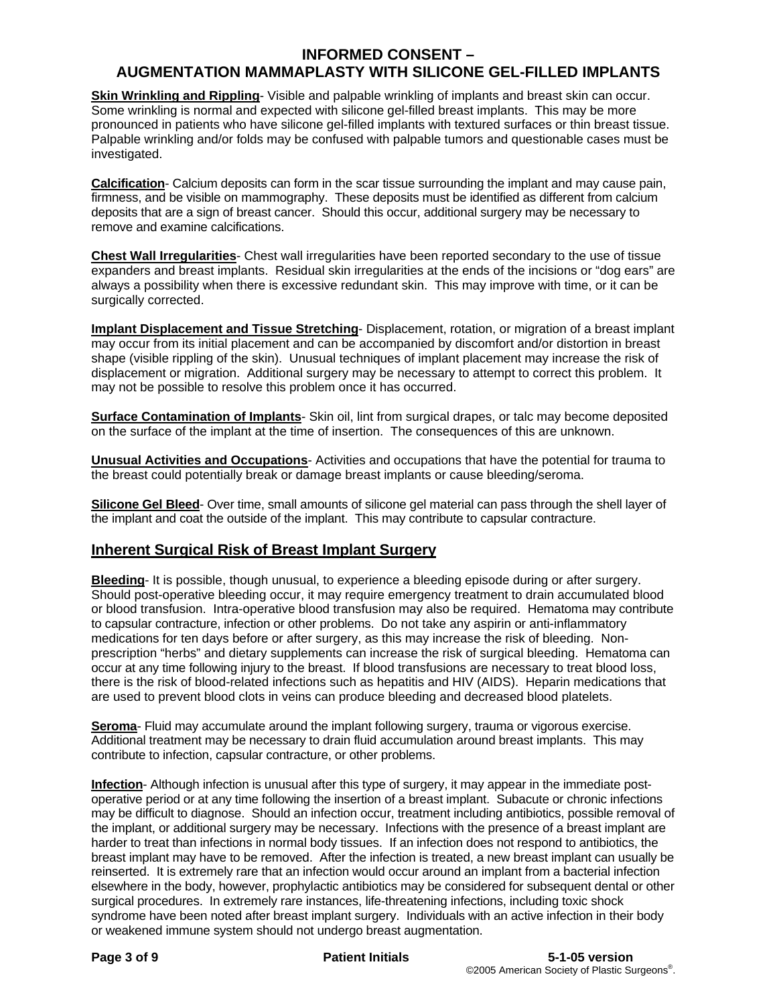# **AUGMENTATION MAMMAPLASTY WITH SILICONE GEL-FILLED IMPLANTS**

**Skin Wrinkling and Rippling**- Visible and palpable wrinkling of implants and breast skin can occur. Some wrinkling is normal and expected with silicone gel-filled breast implants. This may be more pronounced in patients who have silicone gel-filled implants with textured surfaces or thin breast tissue. Palpable wrinkling and/or folds may be confused with palpable tumors and questionable cases must be investigated.

**Calcification**- Calcium deposits can form in the scar tissue surrounding the implant and may cause pain, firmness, and be visible on mammography. These deposits must be identified as different from calcium deposits that are a sign of breast cancer. Should this occur, additional surgery may be necessary to remove and examine calcifications.

**Chest Wall Irregularities**- Chest wall irregularities have been reported secondary to the use of tissue expanders and breast implants. Residual skin irregularities at the ends of the incisions or "dog ears" are always a possibility when there is excessive redundant skin. This may improve with time, or it can be surgically corrected.

**Implant Displacement and Tissue Stretching**- Displacement, rotation, or migration of a breast implant may occur from its initial placement and can be accompanied by discomfort and/or distortion in breast shape (visible rippling of the skin). Unusual techniques of implant placement may increase the risk of displacement or migration. Additional surgery may be necessary to attempt to correct this problem. It may not be possible to resolve this problem once it has occurred.

**Surface Contamination of Implants**- Skin oil, lint from surgical drapes, or talc may become deposited on the surface of the implant at the time of insertion. The consequences of this are unknown.

**Unusual Activities and Occupations**- Activities and occupations that have the potential for trauma to the breast could potentially break or damage breast implants or cause bleeding/seroma.

**Silicone Gel Bleed**- Over time, small amounts of silicone gel material can pass through the shell layer of the implant and coat the outside of the implant. This may contribute to capsular contracture.

# **Inherent Surgical Risk of Breast Implant Surgery**

**Bleeding**- It is possible, though unusual, to experience a bleeding episode during or after surgery. Should post-operative bleeding occur, it may require emergency treatment to drain accumulated blood or blood transfusion. Intra-operative blood transfusion may also be required. Hematoma may contribute to capsular contracture, infection or other problems. Do not take any aspirin or anti-inflammatory medications for ten days before or after surgery, as this may increase the risk of bleeding. Nonprescription "herbs" and dietary supplements can increase the risk of surgical bleeding. Hematoma can occur at any time following injury to the breast. If blood transfusions are necessary to treat blood loss, there is the risk of blood-related infections such as hepatitis and HIV (AIDS). Heparin medications that are used to prevent blood clots in veins can produce bleeding and decreased blood platelets.

**Seroma**- Fluid may accumulate around the implant following surgery, trauma or vigorous exercise. Additional treatment may be necessary to drain fluid accumulation around breast implants. This may contribute to infection, capsular contracture, or other problems.

**Infection**- Although infection is unusual after this type of surgery, it may appear in the immediate postoperative period or at any time following the insertion of a breast implant. Subacute or chronic infections may be difficult to diagnose. Should an infection occur, treatment including antibiotics, possible removal of the implant, or additional surgery may be necessary. Infections with the presence of a breast implant are harder to treat than infections in normal body tissues. If an infection does not respond to antibiotics, the breast implant may have to be removed. After the infection is treated, a new breast implant can usually be reinserted. It is extremely rare that an infection would occur around an implant from a bacterial infection elsewhere in the body, however, prophylactic antibiotics may be considered for subsequent dental or other surgical procedures. In extremely rare instances, life-threatening infections, including toxic shock syndrome have been noted after breast implant surgery. Individuals with an active infection in their body or weakened immune system should not undergo breast augmentation.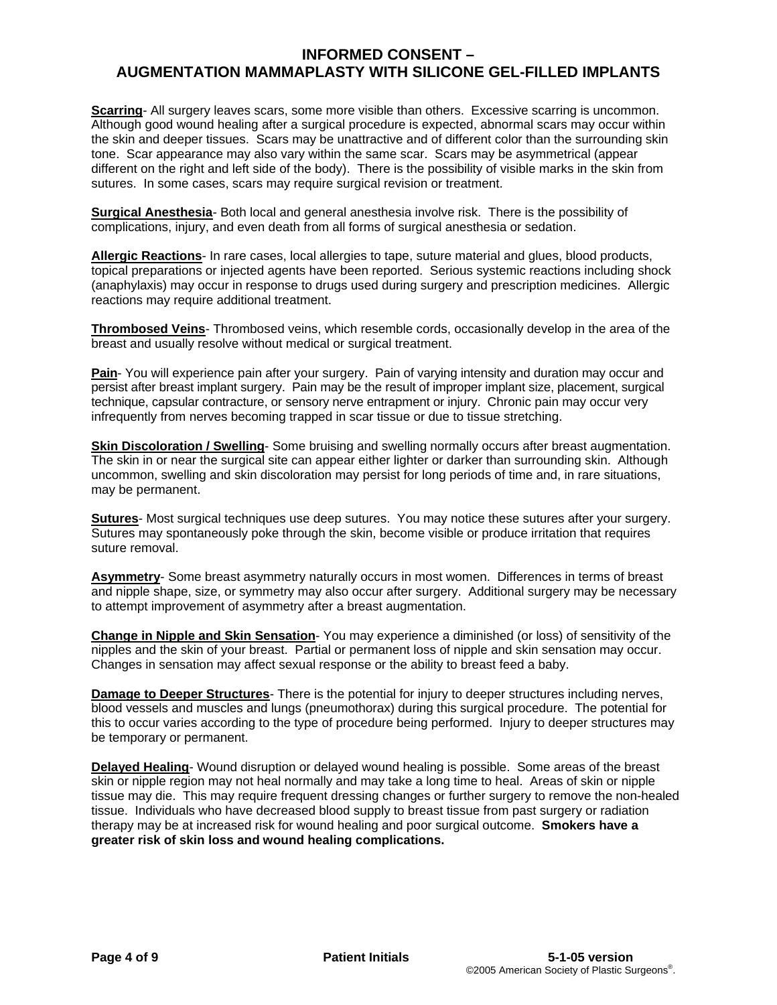# **INFORMED CONSENT – AUGMENTATION MAMMAPLASTY WITH SILICONE GEL-FILLED IMPLANTS**

**Scarring**- All surgery leaves scars, some more visible than others. Excessive scarring is uncommon. Although good wound healing after a surgical procedure is expected, abnormal scars may occur within the skin and deeper tissues. Scars may be unattractive and of different color than the surrounding skin tone. Scar appearance may also vary within the same scar. Scars may be asymmetrical (appear different on the right and left side of the body). There is the possibility of visible marks in the skin from sutures. In some cases, scars may require surgical revision or treatment.

**Surgical Anesthesia**- Both local and general anesthesia involve risk. There is the possibility of complications, injury, and even death from all forms of surgical anesthesia or sedation.

**Allergic Reactions**- In rare cases, local allergies to tape, suture material and glues, blood products, topical preparations or injected agents have been reported. Serious systemic reactions including shock (anaphylaxis) may occur in response to drugs used during surgery and prescription medicines. Allergic reactions may require additional treatment.

**Thrombosed Veins**- Thrombosed veins, which resemble cords, occasionally develop in the area of the breast and usually resolve without medical or surgical treatment.

**Pain**- You will experience pain after your surgery. Pain of varying intensity and duration may occur and persist after breast implant surgery. Pain may be the result of improper implant size, placement, surgical technique, capsular contracture, or sensory nerve entrapment or injury. Chronic pain may occur very infrequently from nerves becoming trapped in scar tissue or due to tissue stretching.

**Skin Discoloration / Swelling**- Some bruising and swelling normally occurs after breast augmentation. The skin in or near the surgical site can appear either lighter or darker than surrounding skin. Although uncommon, swelling and skin discoloration may persist for long periods of time and, in rare situations, may be permanent.

**Sutures**- Most surgical techniques use deep sutures. You may notice these sutures after your surgery. Sutures may spontaneously poke through the skin, become visible or produce irritation that requires suture removal.

**Asymmetry**- Some breast asymmetry naturally occurs in most women. Differences in terms of breast and nipple shape, size, or symmetry may also occur after surgery. Additional surgery may be necessary to attempt improvement of asymmetry after a breast augmentation.

**Change in Nipple and Skin Sensation**- You may experience a diminished (or loss) of sensitivity of the nipples and the skin of your breast. Partial or permanent loss of nipple and skin sensation may occur. Changes in sensation may affect sexual response or the ability to breast feed a baby.

**Damage to Deeper Structures**- There is the potential for injury to deeper structures including nerves, blood vessels and muscles and lungs (pneumothorax) during this surgical procedure. The potential for this to occur varies according to the type of procedure being performed. Injury to deeper structures may be temporary or permanent.

**Delayed Healing**- Wound disruption or delayed wound healing is possible. Some areas of the breast skin or nipple region may not heal normally and may take a long time to heal. Areas of skin or nipple tissue may die. This may require frequent dressing changes or further surgery to remove the non-healed tissue. Individuals who have decreased blood supply to breast tissue from past surgery or radiation therapy may be at increased risk for wound healing and poor surgical outcome. **Smokers have a greater risk of skin loss and wound healing complications.**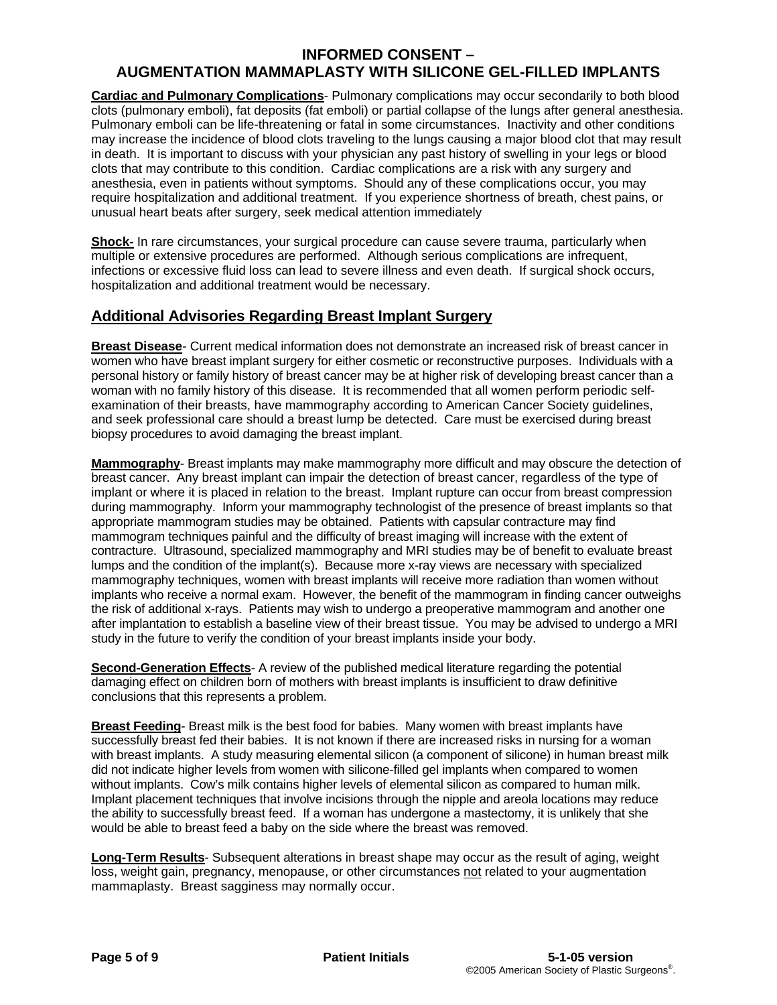# **AUGMENTATION MAMMAPLASTY WITH SILICONE GEL-FILLED IMPLANTS**

**Cardiac and Pulmonary Complications**- Pulmonary complications may occur secondarily to both blood clots (pulmonary emboli), fat deposits (fat emboli) or partial collapse of the lungs after general anesthesia. Pulmonary emboli can be life-threatening or fatal in some circumstances. Inactivity and other conditions may increase the incidence of blood clots traveling to the lungs causing a major blood clot that may result in death. It is important to discuss with your physician any past history of swelling in your legs or blood clots that may contribute to this condition. Cardiac complications are a risk with any surgery and anesthesia, even in patients without symptoms. Should any of these complications occur, you may require hospitalization and additional treatment. If you experience shortness of breath, chest pains, or unusual heart beats after surgery, seek medical attention immediately

**Shock-** In rare circumstances, your surgical procedure can cause severe trauma, particularly when multiple or extensive procedures are performed. Although serious complications are infrequent, infections or excessive fluid loss can lead to severe illness and even death. If surgical shock occurs, hospitalization and additional treatment would be necessary.

# **Additional Advisories Regarding Breast Implant Surgery**

**Breast Disease**- Current medical information does not demonstrate an increased risk of breast cancer in women who have breast implant surgery for either cosmetic or reconstructive purposes. Individuals with a personal history or family history of breast cancer may be at higher risk of developing breast cancer than a woman with no family history of this disease. It is recommended that all women perform periodic selfexamination of their breasts, have mammography according to American Cancer Society guidelines, and seek professional care should a breast lump be detected. Care must be exercised during breast biopsy procedures to avoid damaging the breast implant.

**Mammography**- Breast implants may make mammography more difficult and may obscure the detection of breast cancer. Any breast implant can impair the detection of breast cancer, regardless of the type of implant or where it is placed in relation to the breast. Implant rupture can occur from breast compression during mammography. Inform your mammography technologist of the presence of breast implants so that appropriate mammogram studies may be obtained. Patients with capsular contracture may find mammogram techniques painful and the difficulty of breast imaging will increase with the extent of contracture. Ultrasound, specialized mammography and MRI studies may be of benefit to evaluate breast lumps and the condition of the implant(s). Because more x-ray views are necessary with specialized mammography techniques, women with breast implants will receive more radiation than women without implants who receive a normal exam. However, the benefit of the mammogram in finding cancer outweighs the risk of additional x-rays. Patients may wish to undergo a preoperative mammogram and another one after implantation to establish a baseline view of their breast tissue. You may be advised to undergo a MRI study in the future to verify the condition of your breast implants inside your body.

**Second-Generation Effects**- A review of the published medical literature regarding the potential damaging effect on children born of mothers with breast implants is insufficient to draw definitive conclusions that this represents a problem.

**Breast Feeding**- Breast milk is the best food for babies. Many women with breast implants have successfully breast fed their babies. It is not known if there are increased risks in nursing for a woman with breast implants. A study measuring elemental silicon (a component of silicone) in human breast milk did not indicate higher levels from women with silicone-filled gel implants when compared to women without implants. Cow's milk contains higher levels of elemental silicon as compared to human milk. Implant placement techniques that involve incisions through the nipple and areola locations may reduce the ability to successfully breast feed. If a woman has undergone a mastectomy, it is unlikely that she would be able to breast feed a baby on the side where the breast was removed.

**Long-Term Results**- Subsequent alterations in breast shape may occur as the result of aging, weight loss, weight gain, pregnancy, menopause, or other circumstances not related to your augmentation mammaplasty. Breast sagginess may normally occur.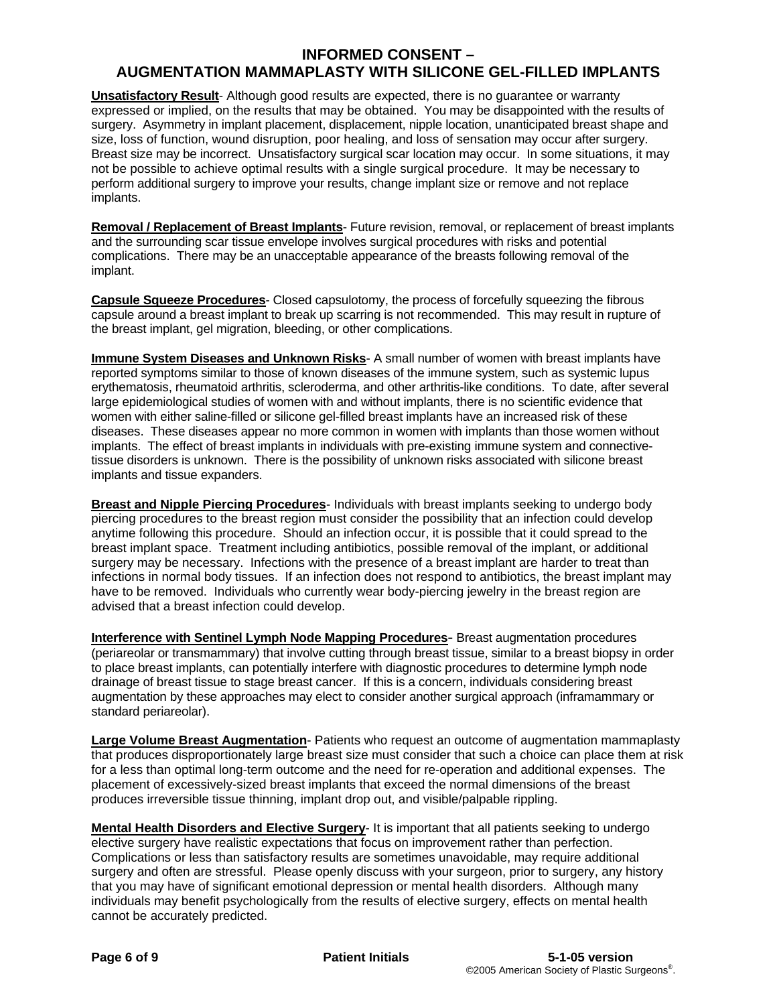# **AUGMENTATION MAMMAPLASTY WITH SILICONE GEL-FILLED IMPLANTS**

**Unsatisfactory Result**- Although good results are expected, there is no guarantee or warranty expressed or implied, on the results that may be obtained. You may be disappointed with the results of surgery. Asymmetry in implant placement, displacement, nipple location, unanticipated breast shape and size, loss of function, wound disruption, poor healing, and loss of sensation may occur after surgery. Breast size may be incorrect. Unsatisfactory surgical scar location may occur. In some situations, it may not be possible to achieve optimal results with a single surgical procedure. It may be necessary to perform additional surgery to improve your results, change implant size or remove and not replace implants.

**Removal / Replacement of Breast Implants**- Future revision, removal, or replacement of breast implants and the surrounding scar tissue envelope involves surgical procedures with risks and potential complications. There may be an unacceptable appearance of the breasts following removal of the implant.

**Capsule Squeeze Procedures**- Closed capsulotomy, the process of forcefully squeezing the fibrous capsule around a breast implant to break up scarring is not recommended. This may result in rupture of the breast implant, gel migration, bleeding, or other complications.

**Immune System Diseases and Unknown Risks**- A small number of women with breast implants have reported symptoms similar to those of known diseases of the immune system, such as systemic lupus erythematosis, rheumatoid arthritis, scleroderma, and other arthritis-like conditions. To date, after several large epidemiological studies of women with and without implants, there is no scientific evidence that women with either saline-filled or silicone gel-filled breast implants have an increased risk of these diseases. These diseases appear no more common in women with implants than those women without implants. The effect of breast implants in individuals with pre-existing immune system and connectivetissue disorders is unknown. There is the possibility of unknown risks associated with silicone breast implants and tissue expanders.

**Breast and Nipple Piercing Procedures**- Individuals with breast implants seeking to undergo body piercing procedures to the breast region must consider the possibility that an infection could develop anytime following this procedure. Should an infection occur, it is possible that it could spread to the breast implant space. Treatment including antibiotics, possible removal of the implant, or additional surgery may be necessary. Infections with the presence of a breast implant are harder to treat than infections in normal body tissues. If an infection does not respond to antibiotics, the breast implant may have to be removed. Individuals who currently wear body-piercing jewelry in the breast region are advised that a breast infection could develop.

**Interference with Sentinel Lymph Node Mapping Procedures-** Breast augmentation procedures (periareolar or transmammary) that involve cutting through breast tissue, similar to a breast biopsy in order to place breast implants, can potentially interfere with diagnostic procedures to determine lymph node drainage of breast tissue to stage breast cancer. If this is a concern, individuals considering breast augmentation by these approaches may elect to consider another surgical approach (inframammary or standard periareolar).

**Large Volume Breast Augmentation**- Patients who request an outcome of augmentation mammaplasty that produces disproportionately large breast size must consider that such a choice can place them at risk for a less than optimal long-term outcome and the need for re-operation and additional expenses. The placement of excessively-sized breast implants that exceed the normal dimensions of the breast produces irreversible tissue thinning, implant drop out, and visible/palpable rippling.

**Mental Health Disorders and Elective Surgery**- It is important that all patients seeking to undergo elective surgery have realistic expectations that focus on improvement rather than perfection. Complications or less than satisfactory results are sometimes unavoidable, may require additional surgery and often are stressful. Please openly discuss with your surgeon, prior to surgery, any history that you may have of significant emotional depression or mental health disorders. Although many individuals may benefit psychologically from the results of elective surgery, effects on mental health cannot be accurately predicted.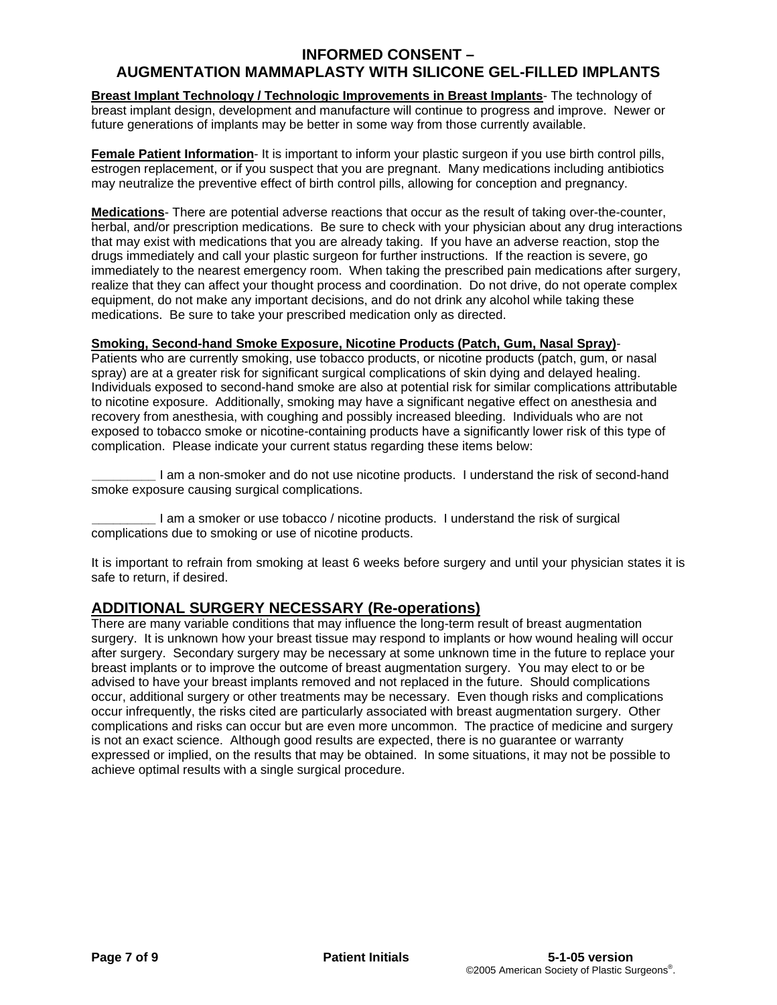# **AUGMENTATION MAMMAPLASTY WITH SILICONE GEL-FILLED IMPLANTS**

**Breast Implant Technology / Technologic Improvements in Breast Implants**- The technology of breast implant design, development and manufacture will continue to progress and improve. Newer or future generations of implants may be better in some way from those currently available.

**Female Patient Information**- It is important to inform your plastic surgeon if you use birth control pills, estrogen replacement, or if you suspect that you are pregnant. Many medications including antibiotics may neutralize the preventive effect of birth control pills, allowing for conception and pregnancy.

**Medications**- There are potential adverse reactions that occur as the result of taking over-the-counter, herbal, and/or prescription medications. Be sure to check with your physician about any drug interactions that may exist with medications that you are already taking. If you have an adverse reaction, stop the drugs immediately and call your plastic surgeon for further instructions. If the reaction is severe, go immediately to the nearest emergency room. When taking the prescribed pain medications after surgery, realize that they can affect your thought process and coordination. Do not drive, do not operate complex equipment, do not make any important decisions, and do not drink any alcohol while taking these medications. Be sure to take your prescribed medication only as directed.

#### **Smoking, Second-hand Smoke Exposure, Nicotine Products (Patch, Gum, Nasal Spray)**-

Patients who are currently smoking, use tobacco products, or nicotine products (patch, gum, or nasal spray) are at a greater risk for significant surgical complications of skin dying and delayed healing. Individuals exposed to second-hand smoke are also at potential risk for similar complications attributable to nicotine exposure. Additionally, smoking may have a significant negative effect on anesthesia and recovery from anesthesia, with coughing and possibly increased bleeding. Individuals who are not exposed to tobacco smoke or nicotine-containing products have a significantly lower risk of this type of complication. Please indicate your current status regarding these items below:

**\_\_\_\_\_\_\_\_\_** I am a non-smoker and do not use nicotine products. I understand the risk of second-hand smoke exposure causing surgical complications.

**\_\_\_\_\_\_\_\_\_** I am a smoker or use tobacco / nicotine products. I understand the risk of surgical complications due to smoking or use of nicotine products.

It is important to refrain from smoking at least 6 weeks before surgery and until your physician states it is safe to return, if desired.

**ADDITIONAL SURGERY NECESSARY (Re-operations)**<br>There are many variable conditions that may influence the long-term result of breast augmentation surgery. It is unknown how your breast tissue may respond to implants or how wound healing will occur after surgery. Secondary surgery may be necessary at some unknown time in the future to replace your breast implants or to improve the outcome of breast augmentation surgery. You may elect to or be advised to have your breast implants removed and not replaced in the future. Should complications occur, additional surgery or other treatments may be necessary. Even though risks and complications occur infrequently, the risks cited are particularly associated with breast augmentation surgery. Other complications and risks can occur but are even more uncommon. The practice of medicine and surgery is not an exact science. Although good results are expected, there is no guarantee or warranty expressed or implied, on the results that may be obtained. In some situations, it may not be possible to achieve optimal results with a single surgical procedure.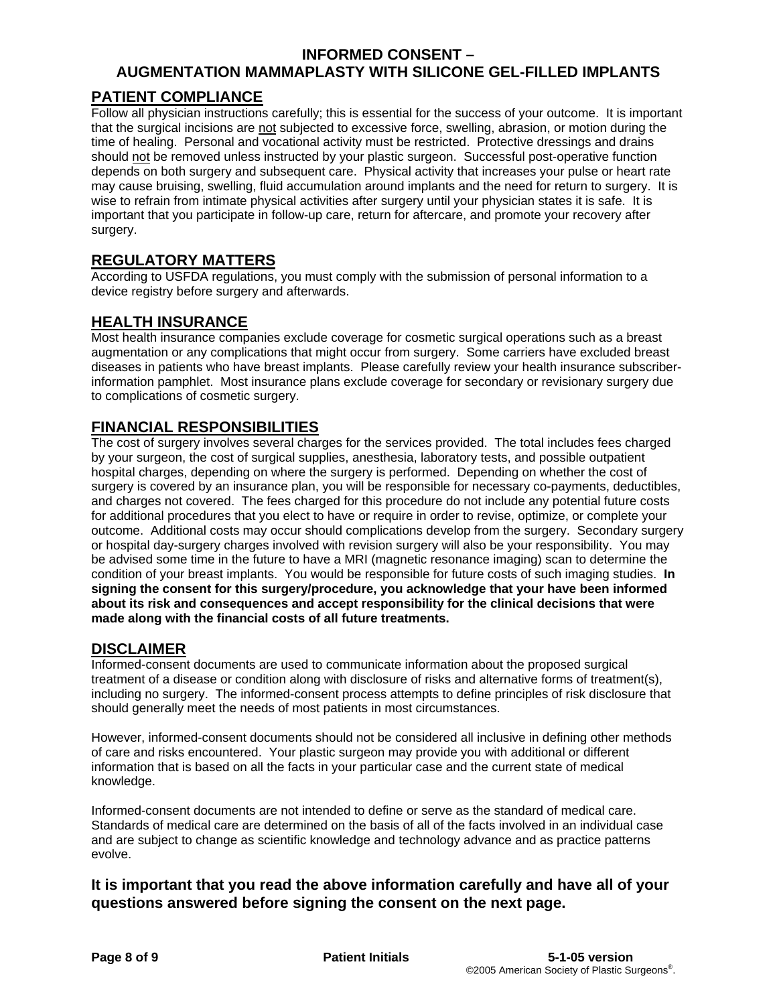# **AUGMENTATION MAMMAPLASTY WITH SILICONE GEL-FILLED IMPLANTS**

# **PATIENT COMPLIANCE**

Follow all physician instructions carefully; this is essential for the success of your outcome. It is important that the surgical incisions are not subjected to excessive force, swelling, abrasion, or motion during the time of healing. Personal and vocational activity must be restricted. Protective dressings and drains should not be removed unless instructed by your plastic surgeon. Successful post-operative function depends on both surgery and subsequent care. Physical activity that increases your pulse or heart rate may cause bruising, swelling, fluid accumulation around implants and the need for return to surgery. It is wise to refrain from intimate physical activities after surgery until your physician states it is safe. It is important that you participate in follow-up care, return for aftercare, and promote your recovery after surgery.

# **REGULATORY MATTERS**

According to USFDA regulations, you must comply with the submission of personal information to a device registry before surgery and afterwards.

# **HEALTH INSURANCE**

Most health insurance companies exclude coverage for cosmetic surgical operations such as a breast augmentation or any complications that might occur from surgery. Some carriers have excluded breast diseases in patients who have breast implants. Please carefully review your health insurance subscriberinformation pamphlet. Most insurance plans exclude coverage for secondary or revisionary surgery due to complications of cosmetic surgery.

# **FINANCIAL RESPONSIBILITIES**

The cost of surgery involves several charges for the services provided. The total includes fees charged by your surgeon, the cost of surgical supplies, anesthesia, laboratory tests, and possible outpatient hospital charges, depending on where the surgery is performed. Depending on whether the cost of surgery is covered by an insurance plan, you will be responsible for necessary co-payments, deductibles, and charges not covered. The fees charged for this procedure do not include any potential future costs for additional procedures that you elect to have or require in order to revise, optimize, or complete your outcome. Additional costs may occur should complications develop from the surgery. Secondary surgery or hospital day-surgery charges involved with revision surgery will also be your responsibility. You may be advised some time in the future to have a MRI (magnetic resonance imaging) scan to determine the condition of your breast implants. You would be responsible for future costs of such imaging studies. **In signing the consent for this surgery/procedure, you acknowledge that your have been informed about its risk and consequences and accept responsibility for the clinical decisions that were made along with the financial costs of all future treatments.** 

# **DISCLAIMER**

Informed-consent documents are used to communicate information about the proposed surgical treatment of a disease or condition along with disclosure of risks and alternative forms of treatment(s), including no surgery. The informed-consent process attempts to define principles of risk disclosure that should generally meet the needs of most patients in most circumstances.

However, informed-consent documents should not be considered all inclusive in defining other methods of care and risks encountered. Your plastic surgeon may provide you with additional or different information that is based on all the facts in your particular case and the current state of medical knowledge.

Informed-consent documents are not intended to define or serve as the standard of medical care. Standards of medical care are determined on the basis of all of the facts involved in an individual case and are subject to change as scientific knowledge and technology advance and as practice patterns evolve.

# **It is important that you read the above information carefully and have all of your questions answered before signing the consent on the next page.**